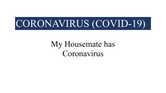# CORONAVIRUS (COVID-19)

My Housemate has Coronavirus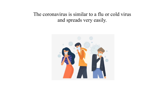## The coronavirus is similar to a flu or cold virus and spreads very easily.

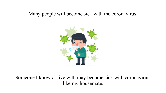#### Many people will become sick with the coronavirus.



Someone I know or live with may become sick with coronavirus, like my housemate.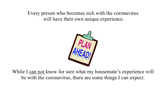Every person who becomes sick with the coronavirus will have their own unique experience.



While I can not know for sure what my housemate's experience will be with the coronavirus, there are some things I can expect.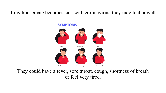If my housemate becomes sick with coronavirus, they may feel unwell.



They could have a fever, sore throat, cough, shortness of breath or feel very tired.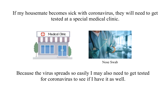If my housemate becomes sick with coronavirus, they will need to get tested at a special medical clinic.





Nose Swab

Because the virus spreads so easily I may also need to get tested for coronavirus to see if I have it as well.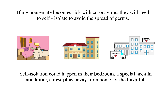If my housemate becomes sick with coronavirus, they will need to self - isolate to avoid the spread of germs.



Self-isolation could happen in their **bedroom**, a **special area in our home**, a **new place** away from home, or the **hospital.**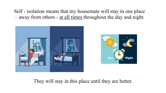Self - isolation means that my housemate will stay in one place – away from others - <u>at all times</u> throughout the day and night.





They will stay in this place until they are better.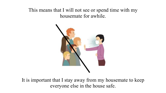## This means that I will not see or spend time with my housemate for awhile.



It is important that I stay away from my housemate to keep everyone else in the house safe.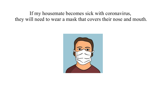If my housemate becomes sick with coronavirus, they will need to wear a mask that covers their nose and mouth.

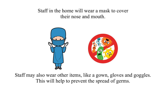Staff in the home will wear a mask to cover their nose and mouth.



Staff may also wear other items, like a gown, gloves and goggles. This will help to prevent the spread of germs.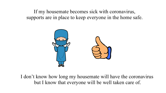If my housemate becomes sick with coronavirus, supports are in place to keep everyone in the home safe.



I don't know how long my housemate will have the coronavirus but I know that everyone will be well taken care of.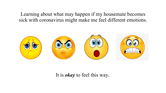Learning about what may happen if my housemate becomes sick with coronavirus might make me feel different emotions.



### It is *okay* to feel this way.